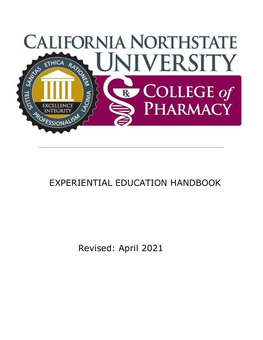

# EXPERIENTIAL EDUCATION HANDBOOK

Revised: April 2021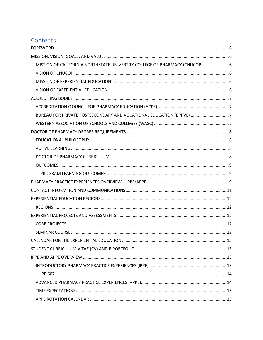# Contents

| MISSION OF CALIFORNIA NORTHSTATE UNIVERSITY COLLEGE OF PHARMACY (CNUCOP) 6 |  |
|----------------------------------------------------------------------------|--|
|                                                                            |  |
|                                                                            |  |
|                                                                            |  |
|                                                                            |  |
|                                                                            |  |
| BUREAU FOR PRIVATE POSTSECONDARY AND VOCATIONAL EDUCATION (BPPVE) 7        |  |
|                                                                            |  |
|                                                                            |  |
|                                                                            |  |
|                                                                            |  |
|                                                                            |  |
|                                                                            |  |
|                                                                            |  |
|                                                                            |  |
|                                                                            |  |
|                                                                            |  |
|                                                                            |  |
|                                                                            |  |
|                                                                            |  |
|                                                                            |  |
|                                                                            |  |
|                                                                            |  |
|                                                                            |  |
|                                                                            |  |
|                                                                            |  |
|                                                                            |  |
|                                                                            |  |
|                                                                            |  |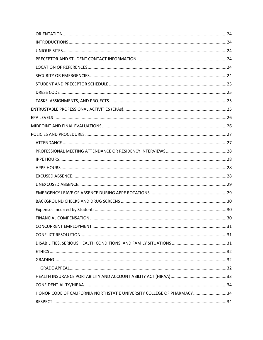| HONOR CODE OF CALIFORNIA NORTHSTAT E UNIVERSITY COLLEGE OF PHARMACY34 |  |
|-----------------------------------------------------------------------|--|
|                                                                       |  |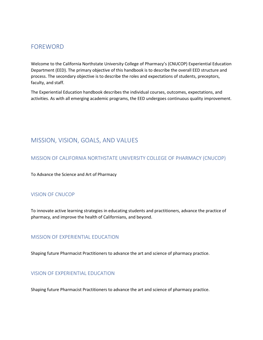## <span id="page-5-0"></span>FOREWORD

Welcome to the California Northstate University College of Pharmacy's (CNUCOP) Experiential Education Department (EED). The primary objective of this handbook is to describe the overall EED structure and process. The secondary objective is to describe the roles and expectations of students, preceptors, faculty, and staff.

The Experiential Education handbook describes the individual courses, outcomes, expectations, and activities. As with all emerging academic programs, the EED undergoes continuous quality improvement.

# <span id="page-5-1"></span>MISSION, VISION, GOALS, AND VALUES

#### <span id="page-5-2"></span>MISSION OF CALIFORNIA NORTHSTATE UNIVERSITY COLLEGE OF PHARMACY (CNUCOP)

To Advance the Science and Art of Pharmacy

#### <span id="page-5-3"></span>VISION OF CNUCOP

To innovate active learning strategies in educating students and practitioners, advance the practice of pharmacy, and improve the health of Californians, and beyond.

#### <span id="page-5-4"></span>MISSION OF EXPERIENTIAL EDUCATION

Shaping future Pharmacist Practitioners to advance the art and science of pharmacy practice.

#### <span id="page-5-5"></span>VISION OF EXPERIENTIAL EDUCATION

Shaping future Pharmacist Practitioners to advance the art and science of pharmacy practice.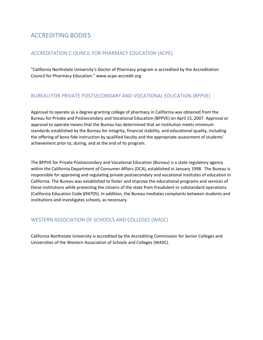# <span id="page-6-0"></span>ACCREDITING BODIES

#### <span id="page-6-1"></span>ACCREDITATION C OUNCIL FOR PHARMACY EDUCATION (ACPE)

"California Northstate University's Doctor of Pharmacy program is accredited by the Accreditation Council for Pharmacy Education." www.acpe-accredit.org

#### <span id="page-6-2"></span>BUREAU FOR PRIVATE POSTSECONDARY AND VOCATIONAL EDUCATION (BPPVE)

Approval to operate as a degree-granting college of pharmacy in California was obtained from the Bureau for Private and Postsecondary and Vocational Education (BPPVE) on April 15, 2007. Approval or approval to operate means that the Bureau has determined that an institution meets minimum standards established by the Bureau for integrity, financial stability, and educational quality, including the offering of bona fide instruction by qualified faculty and the appropriate assessment of students' achievement prior to, during, and at the end of its program.

The BPPVE for Private Postsecondary and Vocational Education (Bureau) is a state regulatory agency within the California Department of Consumer Affairs (DCA), established in January 1998. The Bureau is responsible for approving and regulating private postsecondary and vocational institutes of education in California. The Bureau was established to foster and improve the educational programs and services of these institutions while protecting the citizens of the state from fraudulent or substandard operations (California Education Code §94705). In addition, the Bureau mediates complaints between students and institutions and investigates schools, as necessary.

#### <span id="page-6-3"></span>WESTERN ASSOCIATION OF SCHOOLS AND COLLEGES (WASC)

California Northstate University is accredited by the Accrediting Commission for Senior Colleges and Universities of the Western Association of Schools and Colleges (WASC).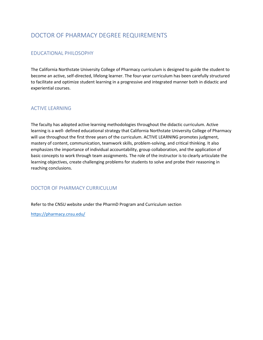# <span id="page-7-0"></span>DOCTOR OF PHARMACY DEGREE REQUIREMENTS

### <span id="page-7-1"></span>EDUCATIONAL PHILOSOPHY

The California Northstate University College of Pharmacy curriculum is designed to guide the student to become an active, self-directed, lifelong learner. The four-year curriculum has been carefully structured to facilitate and optimize student learning in a progressive and integrated manner both in didactic and experiential courses.

#### <span id="page-7-2"></span>ACTIVE LEARNING

The faculty has adopted active learning methodologies throughout the didactic curriculum. Active learning is a well- defined educational strategy that California Northstate University College of Pharmacy will use throughout the first three years of the curriculum. ACTIVE LEARNING promotes judgment, mastery of content, communication, teamwork skills, problem-solving, and critical thinking. It also emphasizes the importance of individual accountability, group collaboration, and the application of basic concepts to work through team assignments. The role of the instructor is to clearly articulate the learning objectives, create challenging problems for students to solve and probe their reasoning in reaching conclusions.

#### <span id="page-7-3"></span>DOCTOR OF PHARMACY CURRICULUM

Refer to the CNSU website under the PharmD Program and Curriculum section

<https://pharmacy.cnsu.edu/>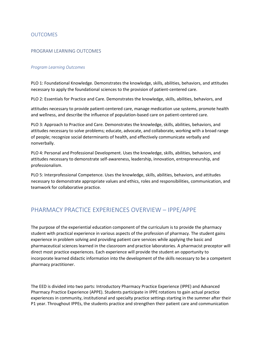#### <span id="page-8-0"></span>OUTCOMES

#### <span id="page-8-1"></span>PROGRAM LEARNING OUTCOMES

#### *Program Learning Outcomes*

PLO 1: Foundational Knowledge. Demonstrates the knowledge, skills, abilities, behaviors, and attitudes necessary to apply the foundational sciences to the provision of patient-centered care.

PLO 2: Essentials for Practice and Care. Demonstrates the knowledge, skills, abilities, behaviors, and

attitudes necessary to provide patient-centered care, manage medication use systems, promote health and wellness, and describe the influence of population-based care on patient-centered care.

PLO 3: Approach to Practice and Care. Demonstrates the knowledge, skills, abilities, behaviors, and attitudes necessary to solve problems; educate, advocate, and collaborate, working with a broad range of people; recognize social determinants of health, and effectively communicate verbally and nonverbally.

PLO 4: Personal and Professional Development. Uses the knowledge, skills, abilities, behaviors, and attitudes necessary to demonstrate self-awareness, leadership, innovation, entrepreneurship, and professionalism.

PLO 5: Interprofessional Competence. Uses the knowledge, skills, abilities, behaviors, and attitudes necessary to demonstrate appropriate values and ethics, roles and responsibilities, communication, and teamwork for collaborative practice.

## <span id="page-8-2"></span>PHARMACY PRACTICE EXPERIENCES OVERVIEW – IPPE/APPE

The purpose of the experiential education component of the curriculum is to provide the pharmacy student with practical experience in various aspects of the profession of pharmacy. The student gains experience in problem solving and providing patient care services while applying the basic and pharmaceutical sciences learned in the classroom and practice laboratories. A pharmacist preceptor will direct most practice experiences. Each experience will provide the student an opportunity to incorporate learned didactic information into the development of the skills necessary to be a competent pharmacy practitioner.

The EED is divided into two parts: Introductory Pharmacy Practice Experience (IPPE) and Advanced Pharmacy Practice Experience (APPE). Students participate in IPPE rotations to gain actual practice experiences in community, institutional and specialty practice settings starting in the summer after their P1 year. Throughout IPPEs, the students practice and strengthen their patient care and communication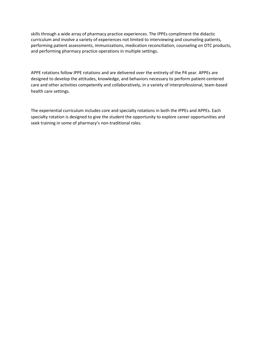skills through a wide array of pharmacy practice experiences. The IPPEs compliment the didactic curriculum and involve a variety of experiences not limited to interviewing and counseling patients, performing patient assessments, immunizations, medication reconciliation, counseling on OTC products, and performing pharmacy practice operations in multiple settings.

APPE rotations follow IPPE rotations and are delivered over the entirety of the P4 year. APPEs are designed to develop the attitudes, knowledge, and behaviors necessary to perform patient-centered care and other activities competently and collaboratively, in a variety of interprofessional, team-based health care settings.

The experiential curriculum includes core and specialty rotations in both the IPPEs and APPEs. Each specialty rotation is designed to give the student the opportunity to explore career opportunities and seek training in some of pharmacy's non-traditional roles.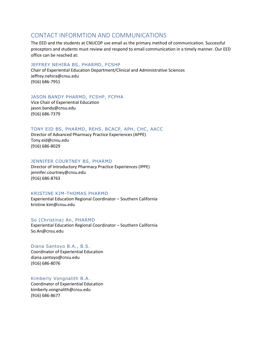## <span id="page-10-0"></span>CONTACT INFORMTION AND COMMUNICATIONS

The EED and the students at CNUCOP use email as the primary method of communication. Successful preceptors and students must review and respond to email communication in a timely manner. Our EED office can be reached at:

#### JEFFREY NEHIRA BS, PHARMD, FCSHP

Chair of Experiential Education Department/Clinical and Administrative Sciences Jeffrey.nehira@cnsu.edu (916) 686-7951

#### JASON BANDY PHARMD, FCSHP, FCPHA

Vice Chair of Experiential Education jason.bandy@cnsu.edu (916) 686-7379

#### TONY EID BS, PHARMD, REHS, BCACP, APH, CHC, AACC

Director of Advanced Pharmacy Practice Experiences (APPE) Tony.eid@cnsu.edu (916) 686-8029

#### JENNIFER COURTNEY BS, PHARMD

Director of Introductory Pharmacy Practice Experiences (IPPE) jennifer.courtney@cnsu.edu (916) 686-8763

#### KRISTINE KIM-THOMAS PHARMD

Experiential Education Regional Coordinator – Southern California kristine.kim@cnsu.edu

#### So (Christina) An, PHARMD

Experiential Education Regional Coordinator – Southern California So.An@cnsu.edu

#### Diana Santoyo B.A., B.S. Coordinator of Experiential Education diana.santoyo@cnsu.edu (916) 686-8076

#### Kimberly Vongnalith B.A.

Coordinator of Experiential Education kimberly.vongnalith@cnsu.edu (916) 686-8677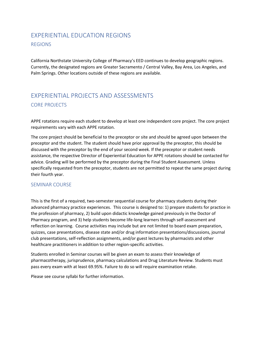# <span id="page-11-1"></span><span id="page-11-0"></span>EXPERIENTIAL EDUCATION REGIONS REGIONS

California Northstate University College of Pharmacy's EED continues to develop geographic regions. Currently, the designated regions are Greater Sacramento / Central Valley, Bay Area, Los Angeles, and Palm Springs. Other locations outside of these regions are available.

# <span id="page-11-3"></span><span id="page-11-2"></span>EXPERIENTIAL PROJECTS AND ASSESSMENTS CORE PROJECTS

APPE rotations require each student to develop at least one independent core project. The core project requirements vary with each APPE rotation.

The core project should be beneficial to the preceptor or site and should be agreed upon between the preceptor and the student. The student should have prior approval by the preceptor, this should be discussed with the preceptor by the end of your second week. If the preceptor or student needs assistance, the respective Director of Experiential Education for APPE rotations should be contacted for advice. Grading will be performed by the preceptor during the Final Student Assessment. Unless specifically requested from the preceptor, students are not permitted to repeat the same project during their fourth year.

#### <span id="page-11-4"></span>SEMINAR COURSE

This is the first of a required, two-semester sequential course for pharmacy students during their advanced pharmacy practice experiences. This course is designed to: 1) prepare students for practice in the profession of pharmacy, 2) build upon didactic knowledge gained previously in the Doctor of Pharmacy program, and 3) help students become life-long learners through self-assessment and reflection on learning. Course activities may include but are not limited to board exam preparation, quizzes, case presentations, disease state and/or drug information presentations/discussions, journal club presentations, self-reflection assignments, and/or guest lectures by pharmacists and other healthcare practitioners in addition to other region-specific activities.

Students enrolled in Seminar courses will be given an exam to assess their knowledge of pharmacotherapy, jurisprudence, pharmacy calculations and Drug Literature Review. Students must pass every exam with at least 69.95%. Failure to do so will require examination retake.

Please see course syllabi for further information.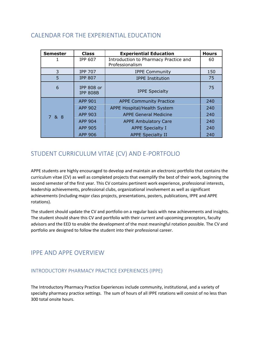# <span id="page-12-0"></span>CALENDAR FOR THE EXPERIENTIAL EDUCATION

| <b>Semester</b> | <b>Class</b>                  | <b>Experiential Education</b>                            | <b>Hours</b> |
|-----------------|-------------------------------|----------------------------------------------------------|--------------|
|                 | <b>IPP 607</b>                | Introduction to Pharmacy Practice and<br>Professionalism | 60           |
| 3               | <b>IPP 707</b>                | <b>IPPE Community</b>                                    | 150          |
| 5               | <b>IPP 807</b>                | <b>IPPE Institution</b>                                  | 75           |
| 6               | IPP 808 or<br><b>IPP 808B</b> | <b>IPPE Specialty</b>                                    | 75           |
|                 | <b>APP 901</b>                | <b>APPE Community Practice</b>                           | 240          |
|                 | <b>APP 902</b>                | APPE Hospital/Health System                              |              |
| 7 & 8           | APP 903                       | <b>APPE General Medicine</b>                             | 240          |
|                 | <b>APP 904</b>                | <b>APPE Ambulatory Care</b>                              | 240          |
|                 | <b>APP 905</b>                | <b>APPE Specialty I</b>                                  | 240          |
|                 | <b>APP 906</b>                | <b>APPE Specialty II</b><br>240                          |              |

# <span id="page-12-1"></span>STUDENT CURRICULUM VITAE (CV) AND E-PORTFOLIO

APPE students are highly encouraged to develop and maintain an electronic portfolio that contains the curriculum vitae (CV) as well as completed projects that exemplify the best of their work, beginning the second semester of the first year. This CV contains pertinent work experience, professional interests, leadership achievements, professional clubs, organizational involvement as well as significant achievements (including major class projects, presentations, posters, publications, IPPE and APPE rotations).

The student should update the CV and portfolio on a regular basis with new achievements and insights. The student should share this CV and portfolio with their current and upcoming preceptors, faculty advisors and the EED to enable the development of the most meaningful rotation possible. The CV and portfolio are designed to follow the student into their professional career.

# <span id="page-12-2"></span>IPPE AND APPE OVERVIEW

#### <span id="page-12-3"></span>INTRODUCTORY PHARMACY PRACTICE EXPERIENCES (IPPE)

The Introductory Pharmacy Practice Experiences include community, institutional, and a variety of specialty pharmacy practice settings. The sum of hours of all IPPE rotations will consist of no less than 300 total onsite hours.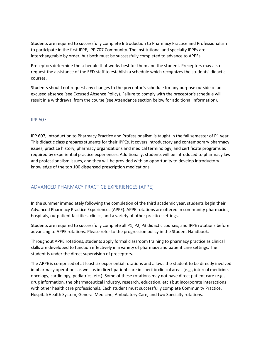Students are required to successfully complete Introduction to Pharmacy Practice and Professionalism to participate in the first IPPE, IPP 707 Community. The institutional and specialty IPPEs are interchangeable by order, but both must be successfully completed to advance to APPEs.

Preceptors determine the schedule that works best for them and the student. Preceptors may also request the assistance of the EED staff to establish a schedule which recognizes the students' didactic courses.

Students should not request any changes to the preceptor's schedule for any purpose outside of an excused absence (see Excused Absence Policy). Failure to comply with the preceptor's schedule will result in a withdrawal from the course (see Attendance section below for additional information).

#### <span id="page-13-0"></span>IPP 607

IPP 607, Introduction to Pharmacy Practice and Professionalism is taught in the fall semester of P1 year. This didactic class prepares students for their IPPEs. It covers introductory and contemporary pharmacy issues, practice history, pharmacy organizations and medical terminology, and certificate programs as required by experiential practice experiences. Additionally, students will be introduced to pharmacy law and professionalism issues, and they will be provided with an opportunity to develop introductory knowledge of the top 100 dispensed prescription medications.

#### <span id="page-13-1"></span>ADVANCED PHARMACY PRACTICE EXPERIENCES (APPE)

In the summer immediately following the completion of the third academic year, students begin their Advanced Pharmacy Practice Experiences (APPE). APPE rotations are offered in community pharmacies, hospitals, outpatient facilities, clinics, and a variety of other practice settings.

Students are required to successfully complete all P1, P2, P3 didactic courses, and IPPE rotations before advancing to APPE rotations. Please refer to the progression policy in the Student Handbook.

Throughout APPE rotations, students apply formal classroom training to pharmacy practice as clinical skills are developed to function effectively in a variety of pharmacy and patient care settings. The student is under the direct supervision of preceptors.

The APPE is comprised of at least six experiential rotations and allows the student to be directly involved in pharmacy operations as well as in direct patient care in specific clinical areas (e.g., internal medicine, oncology, cardiology, pediatrics, etc.). Some of these rotations may not have direct patient care (e.g., drug information, the pharmaceutical industry, research, education, etc.) but incorporate interactions with other health care professionals. Each student must successfully complete Community Practice, Hospital/Health System, General Medicine, Ambulatory Care, and two Specialty rotations.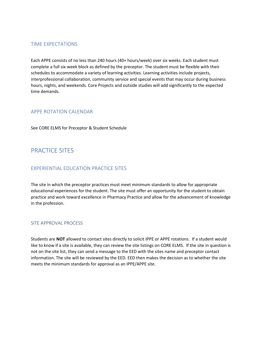#### <span id="page-14-0"></span>TIME EXPECTATIONS

Each APPE consists of no less than 240 hours (40+ hours/week) over six weeks. Each student must complete a full six-week block as defined by the preceptor. The student must be flexible with their schedules to accommodate a variety of learning activities. Learning activities include projects, interprofessional collaboration, community service and special events that may occur during business hours, nights, and weekends. Core Projects and outside studies will add significantly to the expected time demands.

#### <span id="page-14-1"></span>APPE ROTATION CALENDAR

See CORE ELMS for Preceptor & Student Schedule

# <span id="page-14-2"></span>PRACTICE SITES

#### <span id="page-14-3"></span>EXPERIENTIAL EDUCATION PRACTICE SITES

The site in which the preceptor practices must meet minimum standards to allow for appropriate educational experiences for the student. The site must offer an opportunity for the student to obtain practice and work toward excellence in Pharmacy Practice and allow for the advancement of knowledge in the profession.

#### <span id="page-14-4"></span>SITE APPROVAL PROCESS

Students are **NOT** allowed to contact sites directly to solicit IPPE or APPE rotations. If a student would like to know if a site is available, they can review the site listings on CORE ELMS. If the site in question is not on the site list, they can send a message to the EED with the sites name and preceptor contact information. The site will be reviewed by the EED. EED then makes the decision as to whether the site meets the minimum standards for approval as an IPPE/APPE site.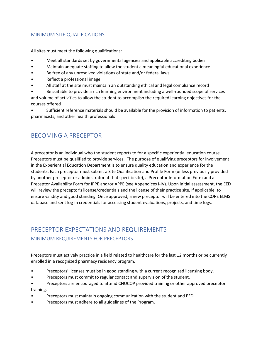#### <span id="page-15-0"></span>MINIMUM SITE QUALIFICATIONS

All sites must meet the following qualifications:

- Meet all standards set by governmental agencies and applicable accrediting bodies
- Maintain adequate staffing to allow the student a meaningful educational experience
- Be free of any unresolved violations of state and/or federal laws
- Reflect a professional image
- All staff at the site must maintain an outstanding ethical and legal compliance record
- Be suitable to provide a rich learning environment including a well-rounded scope of services

and volume of activities to allow the student to accomplish the required learning objectives for the courses offered

• Sufficient reference materials should be available for the provision of information to patients, pharmacists, and other health professionals

# <span id="page-15-1"></span>BECOMING A PRECEPTOR

A preceptor is an individual who the student reports to for a specific experiential education course. Preceptors must be qualified to provide services. The purpose of qualifying preceptors for involvement in the Experiential Education Department is to ensure quality education and experience for the students. Each preceptor must submit a Site Qualification and Profile Form (unless previously provided by another preceptor or administrator at that specific site), a Preceptor Information Form and a Preceptor Availability Form for IPPE and/or APPE (see Appendices I-IV). Upon initial assessment, the EED will review the preceptor's license/credentials and the license of their practice site, if applicable, to ensure validity and good standing. Once approved, a new preceptor will be entered into the CORE ELMS database and sent log-in credentials for accessing student evaluations, projects, and time logs.

# <span id="page-15-3"></span><span id="page-15-2"></span>PRECEPTOR EXPECTATIONS AND REQUIREMENTS MINIMUM REQUIREMENTS FOR PRECEPTORS

Preceptors must actively practice in a field related to healthcare for the last 12 months or be currently enrolled in a recognized pharmacy residency program.

- Preceptors' licenses must be in good standing with a current recognized licensing body.
- Preceptors must commit to regular contact and supervision of the student.
- Preceptors are encouraged to attend CNUCOP provided training or other approved preceptor training.
- Preceptors must maintain ongoing communication with the student and EED.
- Preceptors must adhere to all guidelines of the Program.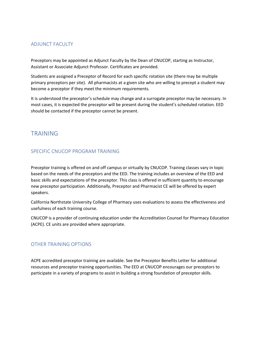#### <span id="page-16-0"></span>ADJUNCT FACULTY

Preceptors may be appointed as Adjunct Faculty by the Dean of CNUCOP, starting as Instructor, Assistant or Associate Adjunct Professor. Certificates are provided.

Students are assigned a Preceptor of Record for each specific rotation site (there may be multiple primary preceptors per site). All pharmacists at a given site who are willing to precept a student may become a preceptor if they meet the minimum requirements.

It is understood the preceptor's schedule may change and a surrogate preceptor may be necessary. In most cases, it is expected the preceptor will be present during the student's scheduled rotation. EED should be contacted if the preceptor cannot be present.

## <span id="page-16-1"></span>TRAINING

#### <span id="page-16-2"></span>SPECIFIC CNUCOP PROGRAM TRAINING

Preceptor training is offered on and off campus or virtually by CNUCOP. Training classes vary in topic based on the needs of the preceptors and the EED. The training includes an overview of the EED and basic skills and expectations of the preceptor. This class is offered in sufficient quantity to encourage new preceptor participation. Additionally, Preceptor and Pharmacist CE will be offered by expert speakers.

California Northstate University College of Pharmacy uses evaluations to assess the effectiveness and usefulness of each training course.

CNUCOP is a provider of continuing education under the Accreditation Counsel for Pharmacy Education (ACPE). CE units are provided where appropriate.

#### <span id="page-16-3"></span>OTHER TRAINING OPTIONS

ACPE accredited preceptor training are available. See the Preceptor Benefits Letter for additional resources and preceptor training opportunities. The EED at CNUCOP encourages our preceptors to participate in a variety of programs to assist in building a strong foundation of preceptor skills.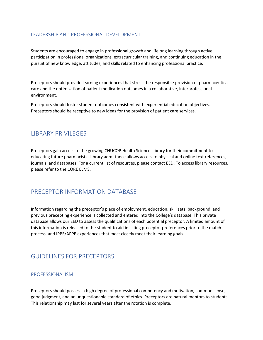#### <span id="page-17-0"></span>LEADERSHIP AND PROFESSIONAL DEVELOPMENT

Students are encouraged to engage in professional growth and lifelong learning through active participation in professional organizations, extracurricular training, and continuing education in the pursuit of new knowledge, attitudes, and skills related to enhancing professional practice.

Preceptors should provide learning experiences that stress the responsible provision of pharmaceutical care and the optimization of patient medication outcomes in a collaborative, interprofessional environment.

Preceptors should foster student outcomes consistent with experiential education objectives. Preceptors should be receptive to new ideas for the provision of patient care services.

## <span id="page-17-1"></span>LIBRARY PRIVILEGES

Preceptors gain access to the growing CNUCOP Health Science Library for their commitment to educating future pharmacists. Library admittance allows access to physical and online text references, journals, and databases. For a current list of resources, please contact EED. To access library resources, please refer to the CORE ELMS.

## <span id="page-17-2"></span>PRECEPTOR INFORMATION DATABASE

Information regarding the preceptor's place of employment, education, skill sets, background, and previous precepting experience is collected and entered into the College's database. This private database allows our EED to assess the qualifications of each potential preceptor. A limited amount of this information is released to the student to aid in listing preceptor preferences prior to the match process, and IPPE/APPE experiences that most closely meet their learning goals.

## <span id="page-17-3"></span>GUIDELINES FOR PRECEPTORS

#### <span id="page-17-4"></span>PROFESSIONALISM

Preceptors should possess a high degree of professional competency and motivation, common sense, good judgment, and an unquestionable standard of ethics. Preceptors are natural mentors to students. This relationship may last for several years after the rotation is complete.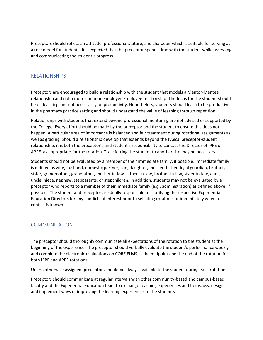Preceptors should reflect an attitude, professional stature, and character which is suitable for serving as a role model for students. It is expected that the preceptor spends time with the student while assessing and communicating the student's progress.

#### <span id="page-18-0"></span>RELATIONSHIPS

Preceptors are encouraged to build a relationship with the student that models a Mentor-Mentee relationship and not a more common Employer-Employee relationship. The focus for the student should be on learning and not necessarily on productivity. Nonetheless, students should learn to be productive in the pharmacy practice setting and should understand the value of learning through repetition.

Relationships with students that extend beyond professional mentoring are not advised or supported by the College. Every effort should be made by the preceptor and the student to ensure this does not happen. A particular area of importance is balanced and fair treatment during rotational assignments as well as grading. Should a relationship develop that extends beyond the typical preceptor-student relationship, it is both the preceptor's and student's responsibility to contact the Director of IPPE or APPE, as appropriate for the rotation. Transferring the student to another site may be necessary.

Students should not be evaluated by a member of their immediate family, if possible. Immediate family is defined as wife, husband, domestic partner, son, daughter, mother, father, legal guardian, brother, sister, grandmother, grandfather, mother-in-law, father–in-law, brother-in-law, sister-in-law, aunt, uncle, niece, nephew, stepparents, or stepchildren. In addition, students may not be evaluated by a preceptor who reports to a member of their immediate family (e.g., administration) as defined above, if possible. The student and preceptor are dually responsible for notifying the respective Experiential Education Directors for any conflicts of interest prior to selecting rotations or immediately when a conflict is known.

#### <span id="page-18-1"></span>**COMMUNICATION**

The preceptor should thoroughly communicate all expectations of the rotation to the student at the beginning of the experience. The preceptor should verbally evaluate the student's performance weekly and complete the electronic evaluations on CORE ELMS at the midpoint and the end of the rotation for both IPPE and APPE rotations.

Unless otherwise assigned, preceptors should be always available to the student during each rotation.

Preceptors should communicate at regular intervals with other community-based and campus-based faculty and the Experiential Education team to exchange teaching experiences and to discuss, design, and implement ways of improving the learning experiences of the students.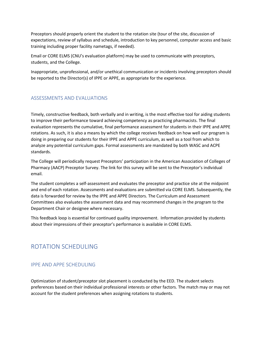Preceptors should properly orient the student to the rotation site (tour of the site, discussion of expectations, review of syllabus and schedule, introduction to key personnel, computer access and basic training including proper facility nametags, if needed).

Email or CORE ELMS (CNU's evaluation platform) may be used to communicate with preceptors, students, and the College.

Inappropriate, unprofessional, and/or unethical communication or incidents involving preceptors should be reported to the Director(s) of IPPE or APPE, as appropriate for the experience.

#### <span id="page-19-0"></span>ASSESSMENTS AND EVALUATIONS

Timely, constructive feedback, both verbally and in writing, is the most effective tool for aiding students to improve their performance toward achieving competency as practicing pharmacists. The final evaluation represents the cumulative, final performance assessment for students in their IPPE and APPE rotations. As such, it is also a means by which the college receives feedback on how well our program is doing in preparing our students for their IPPE and APPE curriculum, as well as a tool from which to analyze any potential curriculum gaps. Formal assessments are mandated by both WASC and ACPE standards.

The College will periodically request Preceptors' participation in the American Association of Colleges of Pharmacy (AACP) Preceptor Survey. The link for this survey will be sent to the Preceptor's individual email.

The student completes a self-assessment and evaluates the preceptor and practice site at the midpoint and end of each rotation. Assessments and evaluations are submitted via CORE ELMS. Subsequently, the data is forwarded for review by the IPPE and APPE Directors. The Curriculum and Assessment Committees also evaluates the assessment data and may recommend changes in the program to the Department Chair or designee where necessary.

This feedback loop is essential for continued quality improvement. Information provided by students about their impressions of their preceptor's performance is available in CORE ELMS.

## <span id="page-19-1"></span>ROTATION SCHEDULING

#### <span id="page-19-2"></span>IPPE AND APPE SCHEDULING

Optimization of student/preceptor slot placement is conducted by the EED. The student selects preferences based on their individual professional interests or other factors. The match may or may not account for the student preferences when assigning rotations to students.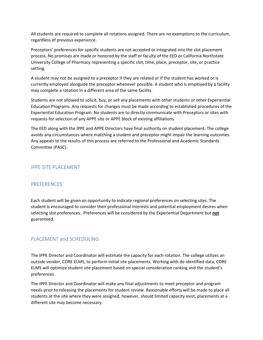All students are required to complete all rotations assigned. There are no exemptions to the curriculum, regardless of previous experience.

Preceptors' preferences for specific students are not accepted or integrated into the slot placement process. No promises are made or honored by the staff or faculty of the EED or California Northstate University College of Pharmacy representing a specific slot, time, place, preceptor, site, or practice setting.

A student may not be assigned to a preceptor if they are related or if the student has worked or is currently employed alongside the preceptor whenever possible. A student who is employed by a facility may complete a rotation in a different area of the same facility.

Students are not allowed to solicit, buy, or sell any placements with other students or other Experiential Education Programs. Any requests for changes must be made according to established procedures of the Experiential Education Program. No students are to directly communicate with Preceptors or sites with requests for selection of any APPE site or APPE block of existing affiliations.

The EED along with the IPPE and APPE Directors have final authority on student placement. The college avoids any circumstances where matching a student and preceptor might impair the learning outcomes. Any appeals to the results of this process are referred to the Professional and Academic Standards Committee (PASC).

#### <span id="page-20-0"></span>IPPE SITE PLACEMENT

#### <span id="page-20-1"></span>PREFERENCES

Each student will be given an opportunity to indicate regional preferences on selecting sites. The student is encouraged to consider their professional interests and potential employment desires when selecting slot preferences. Preferences will be considered by the Experiential Department but **not** guaranteed.

#### <span id="page-20-2"></span>PLACEMENT and SCHEDULING

The IPPE Director and Coordinator will estimate the capacity for each rotation. The college utilizes an outside vendor, CORE ELMS, to perform initial site placements. Working with de-identified data, CORE ELMS will optimize student site placement based on special consideration ranking and the student's preferences.

The IPPE Director and Coordinator will make any final adjustments to meet preceptor and program needs prior to releasing the placements for student review. Reasonable efforts will be made to place all students at the site where they were assigned, however, should limited capacity exist, placements at a different site may become necessary.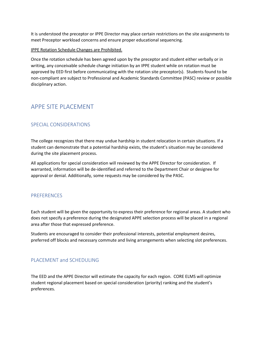It is understood the preceptor or IPPE Director may place certain restrictions on the site assignments to meet Preceptor workload concerns and ensure proper educational sequencing.

#### IPPE Rotation Schedule Changes are Prohibited.

Once the rotation schedule has been agreed upon by the preceptor and student either verbally or in writing, any conceivable schedule change initiation by an IPPE student while on rotation must be approved by EED first before communicating with the rotation site preceptor(s). Students found to be non-compliant are subject to Professional and Academic Standards Committee (PASC) review or possible disciplinary action.

# <span id="page-21-0"></span>APPE SITE PLACEMENT

#### <span id="page-21-1"></span>SPECIAL CONSIDERATIONS

The college recognizes that there may undue hardship in student relocation in certain situations. If a student can demonstrate that a potential hardship exists, the student's situation may be considered during the site placement process.

All applications for special consideration will reviewed by the APPE Director for consideration. If warranted, information will be de-identified and referred to the Department Chair or designee for approval or denial. Additionally, some requests may be considered by the PASC.

#### <span id="page-21-2"></span>PREFERENCES

Each student will be given the opportunity to express their preference for regional areas. A student who does not specify a preference during the designated APPE selection process will be placed in a regional area after those that expressed preference.

Students are encouraged to consider their professional interests, potential employment desires, preferred off blocks and necessary commute and living arrangements when selecting slot preferences.

#### <span id="page-21-3"></span>PLACEMENT and SCHEDULING

The EED and the APPE Director will estimate the capacity for each region. CORE ELMS will optimize student regional placement based on special consideration (priority) ranking and the student's preferences.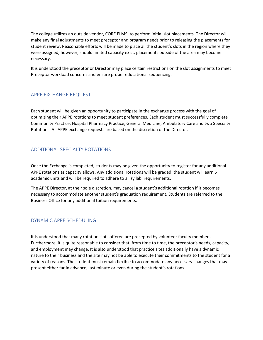The college utilizes an outside vendor, CORE ELMS, to perform initial slot placements. The Director will make any final adjustments to meet preceptor and program needs prior to releasing the placements for student review. Reasonable efforts will be made to place all the student's slots in the region where they were assigned, however, should limited capacity exist, placements outside of the area may become necessary.

It is understood the preceptor or Director may place certain restrictions on the slot assignments to meet Preceptor workload concerns and ensure proper educational sequencing.

#### <span id="page-22-0"></span>APPE EXCHANGE REQUEST

Each student will be given an opportunity to participate in the exchange process with the goal of optimizing their APPE rotations to meet student preferences. Each student must successfully complete Community Practice, Hospital Pharmacy Practice, General Medicine, Ambulatory Care and two Specialty Rotations. All APPE exchange requests are based on the discretion of the Director.

## <span id="page-22-1"></span>ADDITIONAL SPECIALTY ROTATIONS

Once the Exchange is completed, students may be given the opportunity to register for any additional APPE rotations as capacity allows. Any additional rotations will be graded; the student will earn 6 academic units and will be required to adhere to all syllabi requirements.

The APPE Director, at their sole discretion, may cancel a student's additional rotation if it becomes necessary to accommodate another student's graduation requirement. Students are referred to the Business Office for any additional tuition requirements.

#### <span id="page-22-2"></span>DYNAMIC APPE SCHEDULING

It is understood that many rotation slots offered are precepted by volunteer faculty members. Furthermore, it is quite reasonable to consider that, from time to time, the preceptor's needs, capacity, and employment may change. It is also understood that practice sites additionally have a dynamic nature to their business and the site may not be able to execute their commitments to the student for a variety of reasons. The student must remain flexible to accommodate any necessary changes that may present either far in advance, last minute or even during the student's rotations.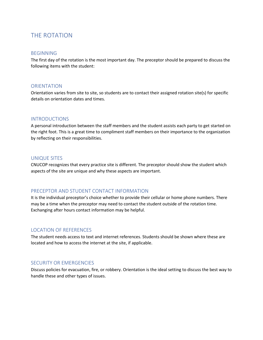# <span id="page-23-0"></span>THE ROTATION

#### <span id="page-23-1"></span>BEGINNING

The first day of the rotation is the most important day. The preceptor should be prepared to discuss the following items with the student:

#### <span id="page-23-2"></span>**ORIENTATION**

Orientation varies from site to site, so students are to contact their assigned rotation site(s) for specific details on orientation dates and times.

#### <span id="page-23-3"></span>INTRODUCTIONS

A personal introduction between the staff members and the student assists each party to get started on the right foot. This is a great time to compliment staff members on their importance to the organization by reflecting on their responsibilities.

#### <span id="page-23-4"></span>UNIQUE SITES

CNUCOP recognizes that every practice site is different. The preceptor should show the student which aspects of the site are unique and why these aspects are important.

#### <span id="page-23-5"></span>PRECEPTOR AND STUDENT CONTACT INFORMATION

It is the individual preceptor's choice whether to provide their cellular or home phone numbers. There may be a time when the preceptor may need to contact the student outside of the rotation time. Exchanging after hours contact information may be helpful.

#### <span id="page-23-6"></span>LOCATION OF REFERENCES

The student needs access to text and internet references. Students should be shown where these are located and how to access the internet at the site, if applicable.

#### <span id="page-23-7"></span>SECURITY OR EMERGENCIES

Discuss policies for evacuation, fire, or robbery. Orientation is the ideal setting to discuss the best way to handle these and other types of issues.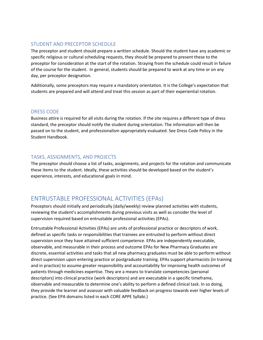#### <span id="page-24-0"></span>STUDENT AND PRECEPTOR SCHEDULE

The preceptor and student should prepare a written schedule. Should the student have any academic or specific religious or cultural scheduling requests, they should be prepared to present these to the preceptor for consideration at the start of the rotation. Straying from the schedule could result in failure of the course for the student. In general, students should be prepared to work at any time or on any day, per preceptor designation.

Additionally, some preceptors may require a mandatory orientation. It is the College's expectation that students are prepared and will attend and treat this session as part of their experiential rotation.

#### <span id="page-24-1"></span>DRESS CODE

Business attire is required for all visits during the rotation. If the site requires a different type of dress standard, the preceptor should notify the student during orientation. The information will then be passed on to the student, and professionalism appropriately evaluated. See Dress Code Policy in the Student Handbook.

#### <span id="page-24-2"></span>TASKS, ASSIGNMENTS, AND PROJECTS

The preceptor should choose a list of tasks, assignments, and projects for the rotation and communicate these items to the student. Ideally, these activities should be developed based on the student's experience, interests, and educational goals in mind.

## <span id="page-24-3"></span>ENTRUSTABLE PROFESSIONAL ACTIVITIES (EPAs)

Preceptors should initially and periodically (daily/weekly) review planned activities with students, reviewing the student's accomplishments during previous visits as well as consider the level of supervision required based on entrustable professional activities (EPAs).

Entrustable Professional Activities (EPAs) are units of professional practice or descriptors of work, defined as specific tasks or responsibilities that trainees are entrusted to perform without direct supervision once they have attained sufficient competence. EPAs are independently executable, observable, and measurable in their process and outcome EPAs for New Pharmacy Graduates are discrete, essential activities and tasks that all new pharmacy graduates must be able to perform without direct supervision upon entering practice or postgraduate training. EPAs support pharmacists (in training and in practice) to assume greater responsibility and accountability for improving health outcomes of patients through medicines expertise. They are a means to translate competencies (personal descriptors) into clinical practice (work descriptors) and are executable in a specific timeframe, observable and measurable to determine one's ability to perform a defined clinical task. In so doing, they provide the learner and assessor with valuable feedback on progress towards ever higher levels of practice. (See EPA domains listed in each CORE APPE Syllabi.)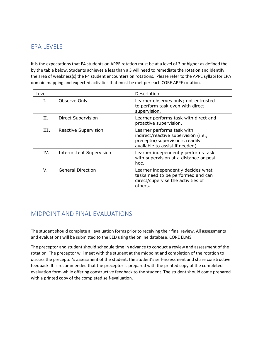# <span id="page-25-0"></span>EPA LEVELS

It is the expectations that P4 students on APPE rotation must be at a level of 3 or higher as defined the by the table below. Students achieves a less than a 3 will need to remediate the rotation and identify the area of weakness(s) the P4 student encounters on rotations. Please refer to the APPE syllabi for EPA domain mapping and expected activities that must be met per each CORE APPE rotation.

| Level |                                 | Description                                                                                                                              |
|-------|---------------------------------|------------------------------------------------------------------------------------------------------------------------------------------|
| Ι.    | Observe Only                    | Learner observes only; not entrusted<br>to perform task even with direct<br>supervision.                                                 |
| Н.    | Direct Supervision              | Learner performs task with direct and<br>proactive supervision.                                                                          |
| III.  | Reactive Supervision            | Learner performs task with<br>indirect/reactive supervision (i.e.,<br>preceptor/supervisor is readily<br>available to assist if needed). |
| IV.   | <b>Intermittent Supervision</b> | Learner independently performs task<br>with supervision at a distance or post-<br>hoc.                                                   |
| V.    | <b>General Direction</b>        | Learner independently decides what<br>tasks need to be performed and can<br>direct/supervise the activities of<br>others.                |

# <span id="page-25-1"></span>MIDPOINT AND FINAL EVALUATIONS

The student should complete all evaluation forms prior to receiving their final review. All assessments and evaluations will be submitted to the EED using the online database, CORE ELMS.

The preceptor and student should schedule time in advance to conduct a review and assessment of the rotation. The preceptor will meet with the student at the midpoint and completion of the rotation to discuss the preceptor's assessment of the student, the student's self-assessment and share constructive feedback. It is recommended that the preceptor is prepared with the printed copy of the completed evaluation form while offering constructive feedback to the student. The student should come prepared with a printed copy of the completed self-evaluation.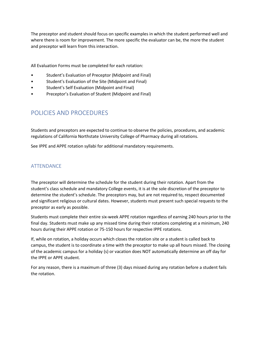The preceptor and student should focus on specific examples in which the student performed well and where there is room for improvement. The more specific the evaluator can be, the more the student and preceptor will learn from this interaction.

All Evaluation Forms must be completed for each rotation:

- Student's Evaluation of Preceptor (Midpoint and Final)
- Student's Evaluation of the Site (Midpoint and Final)
- Student's Self Evaluation (Midpoint and Final)
- Preceptor's Evaluation of Student (Midpoint and Final)

## <span id="page-26-0"></span>POLICIES AND PROCEDURES

Students and preceptors are expected to continue to observe the policies, procedures, and academic regulations of California Northstate University College of Pharmacy during all rotations.

See IPPE and APPE rotation syllabi for additional mandatory requirements.

#### <span id="page-26-1"></span>ATTENDANCE

The preceptor will determine the schedule for the student during their rotation. Apart from the student's class schedule and mandatory College events, it is at the sole discretion of the preceptor to determine the student's schedule. The preceptors may, but are not required to, respect documented and significant religious or cultural dates. However, students must present such special requests to the preceptor as early as possible.

Students must complete their entire six-week APPE rotation regardless of earning 240 hours prior to the final day. Students must make up any missed time during their rotations completing at a minimum, 240 hours during their APPE rotation or 75-150 hours for respective IPPE rotations.

If, while on rotation, a holiday occurs which closes the rotation site or a student is called back to campus, the student is to coordinate a time with the preceptor to make up all hours missed. The closing of the academic campus for a holiday (s) or vacation does NOT automatically determine an off day for the IPPE or APPE student.

For any reason, there is a maximum of three (3) days missed during any rotation before a student fails the rotation.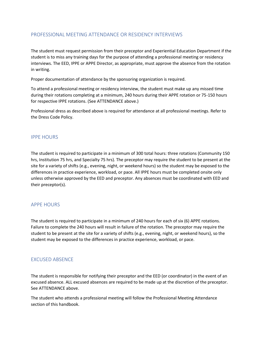#### <span id="page-27-0"></span>PROFESSIONAL MEETING ATTENDANCE OR RESIDENCY INTERVIEWS

The student must request permission from their preceptor and Experiential Education Department if the student is to miss any training days for the purpose of attending a professional meeting or residency interviews. The EED, IPPE or APPE Director, as appropriate, must approve the absence from the rotation in writing.

Proper documentation of attendance by the sponsoring organization is required.

To attend a professional meeting or residency interview, the student must make up any missed time during their rotations completing at a minimum, 240 hours during their APPE rotation or 75-150 hours for respective IPPE rotations. (See ATTENDANCE above.)

Professional dress as described above is required for attendance at all professional meetings. Refer to the Dress Code Policy.

#### <span id="page-27-1"></span>IPPE HOURS

The student is required to participate in a minimum of 300 total hours: three rotations (Community 150 hrs, Institution 75 hrs, and Specialty 75 hrs). The preceptor may require the student to be present at the site for a variety of shifts (e.g., evening, night, or weekend hours) so the student may be exposed to the differences in practice experience, workload, or pace. All IPPE hours must be completed onsite only unless otherwise approved by the EED and preceptor. Any absences must be coordinated with EED and their preceptor(s).

#### <span id="page-27-2"></span>APPE HOURS

The student is required to participate in a minimum of 240 hours for each of six (6) APPE rotations. Failure to complete the 240 hours will result in failure of the rotation. The preceptor may require the student to be present at the site for a variety of shifts (e.g., evening, night, or weekend hours), so the student may be exposed to the differences in practice experience, workload, or pace.

#### <span id="page-27-3"></span>EXCUSED ABSENCE

The student is responsible for notifying their preceptor and the EED (or coordinator) in the event of an excused absence. ALL excused absences are required to be made up at the discretion of the preceptor. See ATTENDANCE above.

The student who attends a professional meeting will follow the Professional Meeting Attendance section of this handbook.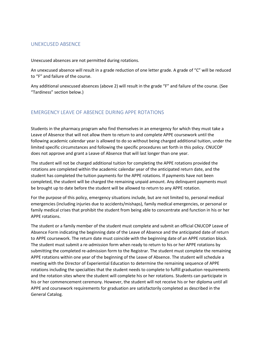#### <span id="page-28-0"></span>UNEXCUSED ABSENCE

Unexcused absences are not permitted during rotations.

An unexcused absence will result in a grade reduction of one letter grade. A grade of "C" will be reduced to "F" and failure of the course.

Any additional unexcused absences (above 2) will result in the grade "F" and failure of the course. (See "Tardiness" section below.)

#### <span id="page-28-1"></span>EMERGENCY LEAVE OF ABSENCE DURING APPE ROTATIONS

Students in the pharmacy program who find themselves in an emergency for which they must take a Leave of Absence that will not allow them to return to and complete APPE coursework until the following academic calendar year is allowed to do so without being charged additional tuition, under the limited specific circumstances and following the specific procedures set forth in this policy. CNUCOP does not approve and grant a Leave of Absence that will last longer than one year.

The student will not be charged additional tuition for completing the APPE rotations provided the rotations are completed within the academic calendar year of the anticipated return date, and the student has completed the tuition payments for the APPE rotations. If payments have not been completed, the student will be charged the remaining unpaid amount. Any delinquent payments must be brought up to date before the student will be allowed to return to any APPE rotation.

For the purpose of this policy, emergency situations include, but are not limited to, personal medical emergencies (including injuries due to accidents/mishaps), family medical emergencies, or personal or family medical crises that prohibit the student from being able to concentrate and function in his or her APPE rotations.

The student or a family member of the student must complete and submit an official CNUCOP Leave of Absence Form indicating the beginning date of the Leave of Absence and the anticipated date of return to APPE coursework. The return date must coincide with the beginning date of an APPE rotation block. The student must submit a re-admission form when ready to return to his or her APPE rotations by submitting the completed re-admission form to the Registrar. The student must complete the remaining APPE rotations within one year of the beginning of the Leave of Absence. The student will schedule a meeting with the Director of Experiential Education to determine the remaining sequence of APPE rotations including the specialties that the student needs to complete to fulfill graduation requirements and the rotation sites where the student will complete his or her rotations. Students can participate in his or her commencement ceremony. However, the student will not receive his or her diploma until all APPE and coursework requirements for graduation are satisfactorily completed as described in the General Catalog.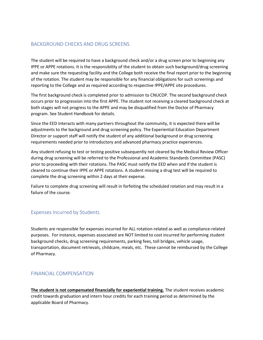#### <span id="page-29-0"></span>BACKGROUND CHECKS AND DRUG SCREENS

The student will be required to have a background check and/or a drug screen prior to beginning any IPPE or APPE rotations. It is the responsibility of the student to obtain such background/drug screening and make sure the requesting facility and the College both receive the final report prior to the beginning of the rotation. The student may be responsible for any financial obligations for such screenings and reporting to the College and as required according to respective IPPE/APPE site procedures.

The first background check is completed prior to admission to CNUCOP. The second background check occurs prior to progression into the first APPE. The student not receiving a cleared background check at both stages will not progress to the APPE and may be disqualified from the Doctor of Pharmacy program. See Student Handbook for details.

Since the EED interacts with many partners throughout the community, it is expected there will be adjustments to the background and drug screening policy. The Experiential Education Department Director or support staff will notify the student of any additional background or drug screening requirements needed prior to introductory and advanced pharmacy practice experiences.

Any student refusing to test or testing positive subsequently not cleared by the Medical Review Officer during drug screening will be referred to the Professional and Academic Standards Committee (PASC) prior to proceeding with their rotations. The PASC must notify the EED when and if the student is cleared to continue their IPPE or APPE rotations. A student missing a drug test will be required to complete the drug screening within 2 days at their expense.

Failure to complete drug screening will result in forfeiting the scheduled rotation and may result in a failure of the course.

#### <span id="page-29-1"></span>Expenses Incurred by Students

Students are responsible for expenses incurred for ALL rotation-related as well as compliance-related purposes. For instance, expenses associated are NOT limited to cost incurred for performing student background checks, drug screening requirements, parking fees, toll bridges, vehicle usage, transportation, document retrievals, childcare, meals, etc. These cannot be reimbursed by the College of Pharmacy.

#### <span id="page-29-2"></span>FINANCIAL COMPENSATION

**The student is not compensated financially for experiential training.** The student receives academic credit towards graduation and intern hour credits for each training period as determined by the applicable Board of Pharmacy.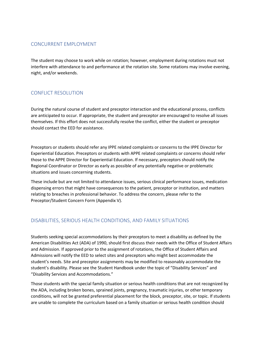#### <span id="page-30-0"></span>CONCURRENT EMPLOYMENT

The student may choose to work while on rotation; however, employment during rotations must not interfere with attendance to and performance at the rotation site. Some rotations may involve evening, night, and/or weekends.

#### <span id="page-30-1"></span>CONFLICT RESOLUTION

During the natural course of student and preceptor interaction and the educational process, conflicts are anticipated to occur. If appropriate, the student and preceptor are encouraged to resolve all issues themselves. If this effort does not successfully resolve the conflict, either the student or preceptor should contact the EED for assistance.

Preceptors or students should refer any IPPE related complaints or concerns to the IPPE Director for Experiential Education. Preceptors or students with APPE related complaints or concerns should refer those to the APPE Director for Experiential Education. If necessary, preceptors should notify the Regional Coordinator or Director as early as possible of any potentially negative or problematic situations and issues concerning students.

These include but are not limited to attendance issues, serious clinical performance issues, medication dispensing errors that might have consequences to the patient, preceptor or institution, and matters relating to breaches in professional behavior. To address the concern, please refer to the Preceptor/Student Concern Form (Appendix V).

#### <span id="page-30-2"></span>DISABILITIES, SERIOUS HEALTH CONDITIONS, AND FAMILY SITUATIONS

Students seeking special accommodations by their preceptors to meet a disability as defined by the American Disabilities Act (ADA) of 1990, should first discuss their needs with the Office of Student Affairs and Admission. If approved prior to the assignment of rotations, the Office of Student Affairs and Admissions will notify the EED to select sites and preceptors who might best accommodate the student's needs. Site and preceptor assignments may be modified to reasonably accommodate the student's disability. Please see the Student Handbook under the topic of "Disability Services" and "Disability Services and Accommodations."

Those students with the special family situation or serious health conditions that are not recognized by the ADA, including broken bones, sprained joints, pregnancy, traumatic injuries, or other temporary conditions, will not be granted preferential placement for the block, preceptor, site, or topic. If students are unable to complete the curriculum based on a family situation or serious health condition should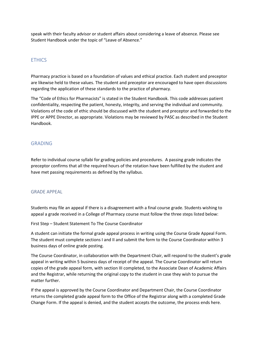speak with their faculty advisor or student affairs about considering a leave of absence. Please see Student Handbook under the topic of "Leave of Absence."

#### <span id="page-31-0"></span>**FTHICS**

Pharmacy practice is based on a foundation of values and ethical practice. Each student and preceptor are likewise held to these values. The student and preceptor are encouraged to have open discussions regarding the application of these standards to the practice of pharmacy.

The "Code of Ethics for Pharmacists" is stated in the Student Handbook. This code addresses patient confidentiality, respecting the patient, honesty, integrity, and serving the individual and community. Violations of the code of ethic should be discussed with the student and preceptor and forwarded to the IPPE or APPE Director, as appropriate. Violations may be reviewed by PASC as described in the Student Handbook.

#### <span id="page-31-1"></span>GRADING

Refer to individual course syllabi for grading policies and procedures. A passing grade indicates the preceptor confirms that all the required hours of the rotation have been fulfilled by the student and have met passing requirements as defined by the syllabus.

#### <span id="page-31-2"></span>GRADE APPEAL

Students may file an appeal if there is a disagreement with a final course grade. Students wishing to appeal a grade received in a College of Pharmacy course must follow the three steps listed below:

First Step – Student Statement To The Course Coordinator

A student can initiate the formal grade appeal process in writing using the Course Grade Appeal Form. The student must complete sections I and II and submit the form to the Course Coordinator within 3 business days of online grade posting.

The Course Coordinator, in collaboration with the Department Chair, will respond to the student's grade appeal in writing within 5 business days of receipt of the appeal. The Course Coordinator will return copies of the grade appeal form, with section III completed, to the Associate Dean of Academic Affairs and the Registrar, while returning the original copy to the student in case they wish to pursue the matter further.

If the appeal is approved by the Course Coordinator and Department Chair, the Course Coordinator returns the completed grade appeal form to the Office of the Registrar along with a completed Grade Change Form. If the appeal is denied, and the student accepts the outcome, the process ends here.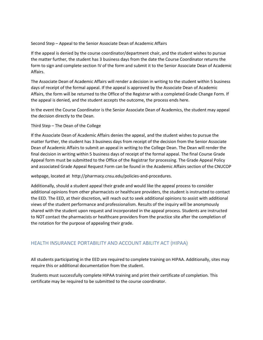#### Second Step – Appeal to the Senior Associate Dean of Academic Affairs

If the appeal is denied by the course coordinator/department chair, and the student wishes to pursue the matter further, the student has 3 business days from the date the Course Coordinator returns the form to sign and complete section IV of the form and submit it to the Senior Associate Dean of Academic Affairs.

The Associate Dean of Academic Affairs will render a decision in writing to the student within 5 business days of receipt of the formal appeal. If the appeal is approved by the Associate Dean of Academic Affairs, the form will be returned to the Office of the Registrar with a completed Grade Change Form. If the appeal is denied, and the student accepts the outcome, the process ends here.

In the event the Course Coordinator is the Senior Associate Dean of Academics, the student may appeal the decision directly to the Dean.

Third Step – The Dean of the College

If the Associate Dean of Academic Affairs denies the appeal, and the student wishes to pursue the matter further, the student has 3 business days from receipt of the decision from the Senior Associate Dean of Academic Affairs to submit an appeal in writing to the College Dean. The Dean will render the final decision in writing within 5 business days of receipt of the formal appeal. The final Course Grade Appeal form must be submitted to the Office of the Registrar for processing. The Grade Appeal Policy and associated Grade Appeal Request Form can be found in the Academic Affairs section of the CNUCOP

webpage, located at http://pharmacy.cnsu.edu/policies-and-procedures.

Additionally, should a student appeal their grade and would like the appeal process to consider additional opinions from other pharmacists or healthcare providers, the student is instructed to contact the EED. The EED, at their discretion, will reach out to seek additional opinions to assist with additional views of the student performance and professionalism. Results of the inquiry will be anonymously shared with the student upon request and incorporated in the appeal process. Students are instructed to NOT contact the pharmacists or healthcare providers from the practice site after the completion of the rotation for the purpose of appealing their grade.

## <span id="page-32-0"></span>HEALTH INSURANCE PORTABILITY AND ACCOUNT ABILITY ACT (HIPAA)

All students participating in the EED are required to complete training on HIPAA. Additionally, sites may require this or additional documentation from the student.

Students must successfully complete HIPAA training and print their certificate of completion. This certificate may be required to be submitted to the course coordinator.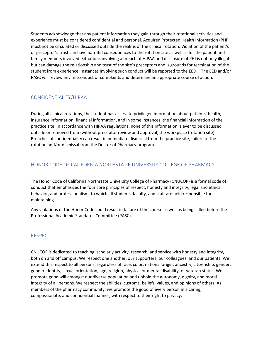Students acknowledge that any patient information they gain through their rotational activities and experience must be considered confidential and personal. Acquired Protected Health Information (PHI) must not be circulated or discussed outside the realms of the clinical rotation. Violation of the patient's or preceptor's trust can have harmful consequences to the rotation site as well as for the patient and family members involved. Situations involving a breach of HIPAA and disclosure of PHI is not only illegal but can damage the relationship and trust of the site's preceptors and is grounds for termination of the student from experience. Instances involving such conduct will be reported to the EED. The EED and/or PASC will review any misconduct or complaints and determine an appropriate course of action.

#### <span id="page-33-0"></span>CONFIDENTIALITY/HIPAA

During all clinical rotations, the student has access to privileged information about patients' health, insurance information, financial information, and in some instances, the financial information of the practice site. In accordance with HIPAA regulations, none of this information is ever to be discussed outside or removed from (without preceptor review and approval) the workplace (rotation site). Breaches of confidentiality can result in immediate dismissal from the practice site, failure of the rotation and/or dismissal from the Doctor of Pharmacy program.

#### <span id="page-33-1"></span>HONOR CODE OF CALIFORNIA NORTHSTAT E UNIVERSITY COLLEGE OF PHARMACY

The Honor Code of California Northstate University College of Pharmacy (CNUCOP) is a formal code of conduct that emphasizes the four core principles of respect, honesty and integrity, legal and ethical behavior, and professionalism, to which all students, faculty, and staff are held responsible for maintaining.

Any violations of the Honor Code could result in failure of the course as well as being called before the Professional Academic Standards Committee (PASC).

#### <span id="page-33-2"></span>RESPECT

CNUCOP is dedicated to teaching, scholarly activity, research, and service with honesty and integrity, both on and off campus. We respect one another, our supporters, our colleagues, and our patients. We extend this respect to all persons, regardless of race, color, national origin, ancestry, citizenship, gender, gender identity, sexual orientation, age, religion, physical or mental disability, or veteran status. We promote good will amongst our diverse population and uphold the autonomy, dignity, and moral integrity of all persons. We respect the abilities, customs, beliefs, values, and opinions of others. As members of the pharmacy community, we promote the good of every person in a caring, compassionate, and confidential manner, with respect to their right to privacy.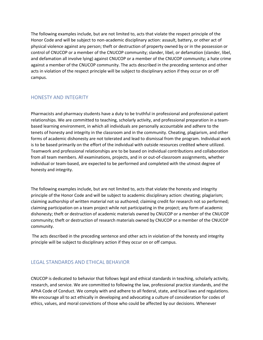The following examples include, but are not limited to, acts that violate the respect principle of the Honor Code and will be subject to non-academic disciplinary action: assault, battery, or other act of physical violence against any person; theft or destruction of property owned by or in the possession or control of CNUCOP or a member of the CNUCOP community; slander, libel, or defamation (slander, libel, and defamation all involve lying) against CNUCOP or a member of the CNUCOP community; a hate crime against a member of the CNUCOP community. The acts described in the preceding sentence and other acts in violation of the respect principle will be subject to disciplinary action if they occur on or off campus.

#### <span id="page-34-0"></span>HONESTY AND INTEGRITY

Pharmacists and pharmacy students have a duty to be truthful in professional and professional-patient relationships. We are committed to teaching, scholarly activity, and professional preparation in a teambased learning environment, in which all individuals are personally accountable and adhere to the tenets of honesty and integrity in the classroom and in the community. Cheating, plagiarism, and other forms of academic dishonesty are not tolerated and lead to dismissal from the program. Individual work is to be based primarily on the effort of the individual with outside resources credited where utilized. Teamwork and professional relationships are to be based on individual contributions and collaboration from all team members. All examinations, projects, and in or out-of-classroom assignments, whether individual or team-based, are expected to be performed and completed with the utmost degree of honesty and integrity.

The following examples include, but are not limited to, acts that violate the honesty and integrity principle of the Honor Code and will be subject to academic disciplinary action: cheating; plagiarism; claiming authorship of written material not so authored; claiming credit for research not so performed; claiming participation on a team project while not participating in the project; any form of academic dishonesty; theft or destruction of academic materials owned by CNUCOP or a member of the CNUCOP community; theft or destruction of research materials owned by CNUCOP or a member of the CNUCOP community.

The acts described in the preceding sentence and other acts in violation of the honesty and integrity principle will be subject to disciplinary action if they occur on or off campus.

#### <span id="page-34-1"></span>LEGAL STANDARDS AND ETHICAL BEHAVIOR

CNUCOP is dedicated to behavior that follows legal and ethical standards in teaching, scholarly activity, research, and service. We are committed to following the law, professional practice standards, and the APhA Code of Conduct. We comply with and adhere to all federal, state, and local laws and regulations. We encourage all to act ethically in developing and advocating a culture of consideration for codes of ethics, values, and moral convictions of those who could be affected by our decisions. Whenever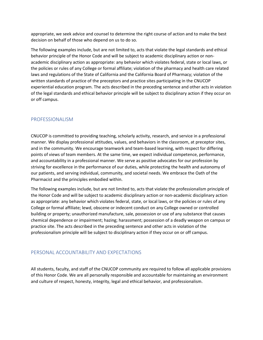appropriate, we seek advice and counsel to determine the right course of action and to make the best decision on behalf of those who depend on us to do so.

The following examples include, but are not limited to, acts that violate the legal standards and ethical behavior principle of the Honor Code and will be subject to academic disciplinary action or nonacademic disciplinary action as appropriate: any behavior which violates federal, state or local laws, or the policies or rules of any College or formal affiliate; violation of the pharmacy and health care related laws and regulations of the State of California and the California Board of Pharmacy; violation of the written standards of practice of the preceptors and practice sites participating in the CNUCOP experiential education program. The acts described in the preceding sentence and other acts in violation of the legal standards and ethical behavior principle will be subject to disciplinary action if they occur on or off campus.

#### <span id="page-35-0"></span>PROFESSIONALISM

CNUCOP is committed to providing teaching, scholarly activity, research, and service in a professional manner. We display professional attitudes, values, and behaviors in the classroom, at preceptor sites, and in the community. We encourage teamwork and team-based learning, with respect for differing points of views of team members. At the same time, we expect individual competence, performance, and accountability in a professional manner. We serve as positive advocates for our profession by striving for excellence in the performance of our duties, while protecting the health and autonomy of our patients, and serving individual, community, and societal needs. We embrace the Oath of the Pharmacist and the principles embodied within.

The following examples include, but are not limited to, acts that violate the professionalism principle of the Honor Code and will be subject to academic disciplinary action or non-academic disciplinary action as appropriate: any behavior which violates federal, state, or local laws, or the policies or rules of any College or formal affiliate; lewd, obscene or indecent conduct on any College owned or controlled building or property; unauthorized manufacture, sale, possession or use of any substance that causes chemical dependence or impairment; hazing; harassment; possession of a deadly weapon on campus or practice site. The acts described in the preceding sentence and other acts in violation of the professionalism principle will be subject to disciplinary action if they occur on or off campus.

## <span id="page-35-1"></span>PERSONAL ACCOUNTABILITY AND EXPECTATIONS

All students, faculty, and staff of the CNUCOP community are required to follow all applicable provisions of this Honor Code. We are all personally responsible and accountable for maintaining an environment and culture of respect, honesty, integrity, legal and ethical behavior, and professionalism.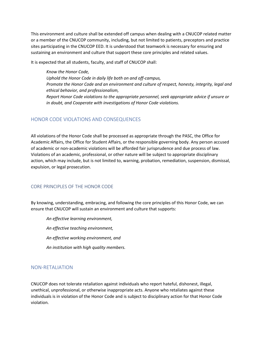This environment and culture shall be extended off campus when dealing with a CNUCOP related matter or a member of the CNUCOP community, including, but not limited to patients, preceptors and practice sites participating in the CNUCOP EED. It is understood that teamwork is necessary for ensuring and sustaining an environment and culture that support these core principles and related values.

It is expected that all students, faculty, and staff of CNUCOP shall:

*Know the Honor Code, Uphold the Honor Code in daily life both on and off-campus, Promote the Honor Code and an environment and culture of respect, honesty, integrity, legal and ethical behavior, and professionalism, Report Honor Code violations to the appropriate personnel, seek appropriate advice if unsure or in doubt, and Cooperate with investigations of Honor Code violations.*

#### <span id="page-36-0"></span>HONOR CODE VIOLATIONS AND CONSEQUENCES

All violations of the Honor Code shall be processed as appropriate through the PASC, the Office for Academic Affairs, the Office for Student Affairs, or the responsible governing body. Any person accused of academic or non-academic violations will be afforded fair jurisprudence and due process of law. Violations of an academic, professional, or other nature will be subject to appropriate disciplinary action, which may include, but is not limited to, warning, probation, remediation, suspension, dismissal, expulsion, or legal prosecution.

#### <span id="page-36-1"></span>CORE PRINCIPLES OF THE HONOR CODE

By knowing, understanding, embracing, and following the core principles of this Honor Code, we can ensure that CNUCOP will sustain an environment and culture that supports:

*An effective learning environment, An effective teaching environment, An effective working environment, and An institution with high quality members.*

#### <span id="page-36-2"></span>NON-RETALIATION

CNUCOP does not tolerate retaliation against individuals who report hateful, dishonest, illegal, unethical, unprofessional, or otherwise inappropriate acts. Anyone who retaliates against these individuals is in violation of the Honor Code and is subject to disciplinary action for that Honor Code violation.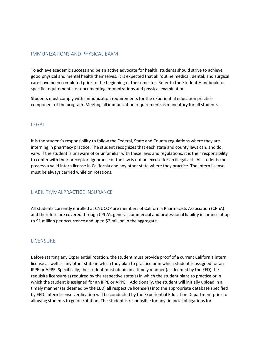#### <span id="page-37-0"></span>IMMUNIZATIONS AND PHYSICAL EXAM

To achieve academic success and be an active advocate for health, students should strive to achieve good physical and mental health themselves. It is expected that all routine medical, dental, and surgical care have been completed prior to the beginning of the semester. Refer to the Student Handbook for specific requirements for documenting immunizations and physical examination.

Students must comply with immunization requirements for the experiential education practice component of the program. Meeting all immunization requirements is mandatory for all students.

#### <span id="page-37-1"></span>LEGAL

It is the student's responsibility to follow the Federal, State and County regulations where they are interning in pharmacy practice. The student recognizes that each state and county laws can, and do, vary. If the student is unaware of or unfamiliar with these laws and regulations, it is their responsibility to confer with their preceptor. Ignorance of the law is not an excuse for an illegal act. All students must possess a valid intern license in California and any other state where they practice. The intern license must be always carried while on rotations.

#### <span id="page-37-2"></span>LIABILITY/MALPRACTICE INSURANCE

All students currently enrolled at CNUCOP are members of California Pharmacists Association (CPhA) and therefore are covered through CPhA's general commercial and professional liability insurance at up to \$1 million per occurrence and up to \$2 million in the aggregate.

#### <span id="page-37-3"></span>**LICENSURE**

Before starting any Experiential rotation, the student must provide proof of a current California intern license as well as any other state in which they plan to practice or in which student is assigned for an IPPE or APPE. Specifically, the student must obtain in a timely manner (as deemed by the EED) the requisite licensure(s) required by the respective state(s) in which the student plans to practice or in which the student is assigned for an IPPE or APPE. Additionally, the student will initially upload in a timely manner (as deemed by the EED) all respective license(s) into the appropriate database specified by EED. Intern license verification will be conducted by the Experiential Education Department prior to allowing students to go on rotation. The student is responsible for any financial obligations for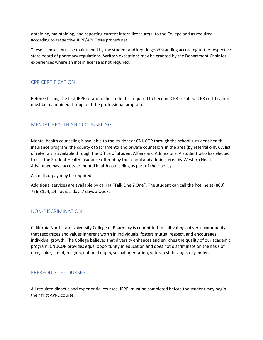obtaining, maintaining, and reporting current intern licensure(s) to the College and as required according to respective IPPE/APPE site procedures.

These licenses must be maintained by the student and kept in good standing according to the respective state board of pharmacy regulations. Written exceptions may be granted by the Department Chair for experiences where an intern license is not required.

#### <span id="page-38-0"></span>CPR CERTIFICATION

Before starting the first IPPE rotation, the student is required to become CPR certified. CPR certification must be maintained throughout the professional program.

#### <span id="page-38-1"></span>MENTAL HEALTH AND COUNSELING

Mental health counseling is available to the student at CNUCOP through the school's student health insurance program, the county of Sacramento and private counselors in the area (by referral only). A list of referrals is available through the Office of Student Affairs and Admissions. A student who has elected to use the Student Health Insurance offered by the school and administered by Western Health Advantage have access to mental health counseling as part of their policy.

A small co-pay may be required.

Additional services are available by calling "Talk One 2 One". The student can call the hotline at (800) 756-3124, 24 hours a day, 7 days a week.

#### <span id="page-38-2"></span>NON-DISCRIMINATION

California Northstate University College of Pharmacy is committed to cultivating a diverse community that recognizes and values inherent worth in individuals, fosters mutual respect, and encourages individual growth. The College believes that diversity enhances and enriches the quality of our academic program. CNUCOP provides equal opportunity in education and does not discriminate on the basis of race, color, creed, religion, national origin, sexual orientation, veteran status, age, or gender.

#### <span id="page-38-3"></span>PREREQUISITE COURSES

All required didactic and experiential courses (IPPE) must be completed before the student may begin their first APPE course.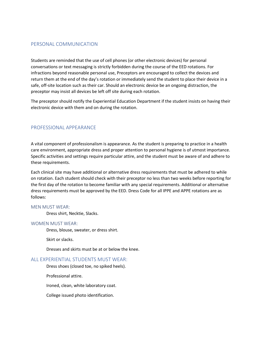#### <span id="page-39-0"></span>PERSONAL COMMUNICATION

Students are reminded that the use of cell phones (or other electronic devices) for personal conversations or text messaging is strictly forbidden during the course of the EED rotations. For infractions beyond reasonable personal use, Preceptors are encouraged to collect the devices and return them at the end of the day's rotation or immediately send the student to place their device in a safe, off-site location such as their car. Should an electronic device be an ongoing distraction, the preceptor may insist all devices be left off site during each rotation.

The preceptor should notify the Experiential Education Department if the student insists on having their electronic device with them and on during the rotation.

#### <span id="page-39-1"></span>PROFESSIONAL APPEARANCE

A vital component of professionalism is appearance. As the student is preparing to practice in a health care environment, appropriate dress and proper attention to personal hygiene is of utmost importance. Specific activities and settings require particular attire, and the student must be aware of and adhere to these requirements.

Each clinical site may have additional or alternative dress requirements that must be adhered to while on rotation. Each student should check with their preceptor no less than two weeks before reporting for the first day of the rotation to become familiar with any special requirements. Additional or alternative dress requirements must be approved by the EED. Dress Code for all IPPE and APPE rotations are as follows:

#### <span id="page-39-2"></span>MEN MUST WEAR:

Dress shirt, Necktie, Slacks.

#### <span id="page-39-3"></span>WOMEN MUST WEAR:

Dress, blouse, sweater, or dress shirt.

Skirt or slacks.

Dresses and skirts must be at or below the knee.

#### <span id="page-39-4"></span>ALL EXPERIENTIAL STUDENTS MUST WEAR:

Dress shoes (closed toe, no spiked heels).

Professional attire.

Ironed, clean, white laboratory coat.

College issued photo identification.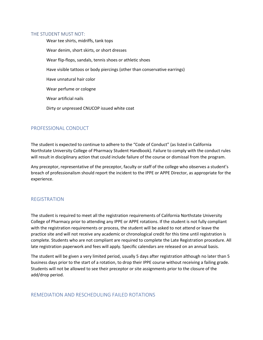#### <span id="page-40-0"></span>THE STUDENT MUST NOT:

Wear tee shirts, midriffs, tank tops Wear denim, short skirts, or short dresses Wear flip-flops, sandals, tennis shoes or athletic shoes Have visible tattoos or body piercings (other than conservative earrings) Have unnatural hair color Wear perfume or cologne Wear artificial nails Dirty or unpressed CNUCOP issued white coat

#### <span id="page-40-1"></span>PROFESSIONAL CONDUCT

The student is expected to continue to adhere to the "Code of Conduct" (as listed in California Northstate University College of Pharmacy Student Handbook). Failure to comply with the conduct rules will result in disciplinary action that could include failure of the course or dismissal from the program.

Any preceptor, representative of the preceptor, faculty or staff of the college who observes a student's breach of professionalism should report the incident to the IPPE or APPE Director, as appropriate for the experience.

#### <span id="page-40-2"></span>REGISTRATION

The student is required to meet all the registration requirements of California Northstate University College of Pharmacy prior to attending any IPPE or APPE rotations. If the student is not fully compliant with the registration requirements or process, the student will be asked to not attend or leave the practice site and will not receive any academic or chronological credit for this time until registration is complete. Students who are not compliant are required to complete the Late Registration procedure. All late registration paperwork and fees will apply. Specific calendars are released on an annual basis.

The student will be given a very limited period, usually 5 days after registration although no later than 5 business days prior to the start of a rotation, to drop their IPPE course without receiving a failing grade. Students will not be allowed to see their preceptor or site assignments prior to the closure of the add/drop period.

#### <span id="page-40-3"></span>REMEDIATION AND RESCHEDULING FAILED ROTATIONS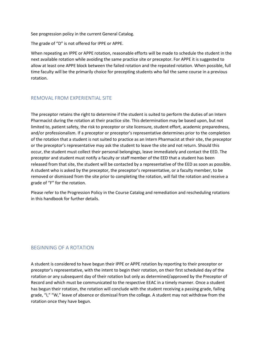See progression policy in the current General Catalog.

The grade of "D" is not offered for IPPE or APPE.

When repeating an IPPE or APPE rotation, reasonable efforts will be made to schedule the student in the next available rotation while avoiding the same practice site or preceptor. For APPE it is suggested to allow at least one APPE block between the failed rotation and the repeated rotation. When possible, full time faculty will be the primarily choice for precepting students who fail the same course in a previous rotation.

#### <span id="page-41-0"></span>REMOVAL FROM EXPERIENTIAL SITE

The preceptor retains the right to determine if the student is suited to perform the duties of an Intern Pharmacist during the rotation at their practice site. This determination may be based upon, but not limited to, patient safety, the risk to preceptor or site licensure, student effort, academic preparedness, and/or professionalism. If a preceptor or preceptor's representative determines prior to the completion of the rotation that a student is not suited to practice as an Intern Pharmacist at their site, the preceptor or the preceptor's representative may ask the student to leave the site and not return. Should this occur, the student must collect their personal belongings, leave immediately and contact the EED. The preceptor and student must notify a faculty or staff member of the EED that a student has been released from that site, the student will be contacted by a representative of the EED as soon as possible. A student who is asked by the preceptor, the preceptor's representative, or a faculty member, to be removed or dismissed from the site prior to completing the rotation, will fail the rotation and receive a grade of "F" for the rotation.

Please refer to the Progression Policy in the Course Catalog and remediation and rescheduling rotations in this handbook for further details.

#### <span id="page-41-1"></span>BEGINNING OF A ROTATION

A student is considered to have begun their IPPE or APPE rotation by reporting to their preceptor or preceptor's representative, with the intent to begin their rotation, on their first scheduled day of the rotation or any subsequent day of their rotation but only as determined/approved by the Preceptor of Record and which must be communicated to the respective EEAC in a timely manner. Once a student has begun their rotation, the rotation will conclude with the student receiving a passing grade, failing grade, "I," "W," leave of absence or dismissal from the college. A student may not withdraw from the rotation once they have begun.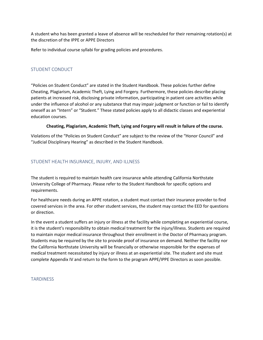A student who has been granted a leave of absence will be rescheduled for their remaining rotation(s) at the discretion of the IPPE or APPE Directors

Refer to individual course syllabi for grading policies and procedures.

#### <span id="page-42-0"></span>STUDENT CONDUCT

"Policies on Student Conduct" are stated in the Student Handbook. These policies further define Cheating, Plagiarism, Academic Theft, Lying and Forgery. Furthermore, these policies describe placing patients at increased risk, disclosing private information, participating in patient care activities while under the influence of alcohol or any substance that may impair judgment or function or fail to identify oneself as an "Intern" or "Student." These stated policies apply to all didactic classes and experiential education courses.

#### **Cheating, Plagiarism, Academic Theft, Lying and Forgery will result in failure of the course.**

Violations of the "Policies on Student Conduct" are subject to the review of the "Honor Council" and "Judicial Disciplinary Hearing" as described in the Student Handbook.

#### <span id="page-42-1"></span>STUDENT HEALTH INSURANCE, INJURY, AND ILLNESS

The student is required to maintain health care insurance while attending California Northstate University College of Pharmacy. Please refer to the Student Handbook for specific options and requirements.

For healthcare needs during an APPE rotation, a student must contact their insurance provider to find covered services in the area. For other student services, the student may contact the EED for questions or direction.

In the event a student suffers an injury or illness at the facility while completing an experiential course, it is the student's responsibility to obtain medical treatment for the injury/illness. Students are required to maintain major medical insurance throughout their enrollment in the Doctor of Pharmacy program. Students may be required by the site to provide proof of insurance on demand. Neither the facility nor the California Northstate University will be financially or otherwise responsible for the expenses of medical treatment necessitated by injury or illness at an experiential site. The student and site must complete Appendix IV and return to the form to the program APPE/IPPE Directors as soon possible.

#### <span id="page-42-2"></span>**TARDINESS**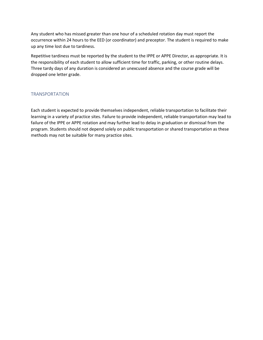Any student who has missed greater than one hour of a scheduled rotation day must report the occurrence within 24 hours to the EED (or coordinator) and preceptor. The student is required to make up any time lost due to tardiness.

Repetitive tardiness must be reported by the student to the IPPE or APPE Director, as appropriate. It is the responsibility of each student to allow sufficient time for traffic, parking, or other routine delays. Three tardy days of any duration is considered an unexcused absence and the course grade will be dropped one letter grade.

#### <span id="page-43-0"></span>TRANSPORTATION

Each student is expected to provide themselves independent, reliable transportation to facilitate their learning in a variety of practice sites. Failure to provide independent, reliable transportation may lead to failure of the IPPE or APPE rotation and may further lead to delay in graduation or dismissal from the program. Students should not depend solely on public transportation or shared transportation as these methods may not be suitable for many practice sites.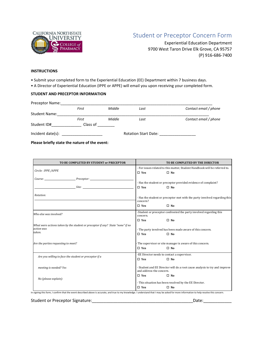<span id="page-44-0"></span>

# Student or Preceptor Concern Form

Experiential Education Department 9700 West Taron Drive Elk Grove, CA 95757 (P) 916-686-7400

#### **INSTRUCTIONS**

• Submit your completed form to the Experiential Education (EE) Department within 7 business days.

• A Director of Experiential Education (IPPE or APPE) will email you upon receiving your completed form.

#### **STUDENT AND PRECEPTOR INFORMATION**

| Preceptor Name:      |          |        |                             |                       |
|----------------------|----------|--------|-----------------------------|-----------------------|
|                      | First    | Middle | Last                        | Contact email / phone |
| <b>Student Name:</b> |          |        |                             |                       |
|                      | First    | Middle | Last                        | Contact email / phone |
| Student ID#          | Class of |        |                             |                       |
| Incident date(s):    |          |        | <b>Rotation Start Date:</b> |                       |

**Please briefly state the nature of the event:**

| TO BE COMPLETED BY STUDENT or PRECEPTOR                                                                |                                                                                                        | TO BE COMPLETED BY THE DIRECTOR                                                         |
|--------------------------------------------------------------------------------------------------------|--------------------------------------------------------------------------------------------------------|-----------------------------------------------------------------------------------------|
| Circle: IPPE /APPE                                                                                     | $\square$ Yes                                                                                          | - For issues related to this matter, Student Handbook will be referred to.<br>$\Box$ No |
| Course: Preceptor:                                                                                     | - Has the student or preceptor provided evidence of complaint?                                         |                                                                                         |
| Site:                                                                                                  | $\square$ Yes                                                                                          | $\square$ No                                                                            |
| Rotation:                                                                                              | - Has the student or preceptor met with the party involved regarding this<br>concern?                  |                                                                                         |
|                                                                                                        | $\square$ Yes                                                                                          | $\Box$ No                                                                               |
| Who else was involved?                                                                                 | -Student or preceptor confronted the party involved regarding this<br>concern.                         |                                                                                         |
|                                                                                                        | $\Box$ Yes                                                                                             | $\square$ No                                                                            |
| What were actions taken by the student or preceptor if any? State "none" if no<br>action was<br>taken. | - The party involved has been made aware of this concern.<br>$\square$ Yes<br>$\Box$ No                |                                                                                         |
|                                                                                                        |                                                                                                        |                                                                                         |
| Are the parties requesting to meet?                                                                    |                                                                                                        | The supervisor or site manager is aware of this concern.                                |
|                                                                                                        | $\square$ Yes                                                                                          | $\square$ No                                                                            |
| Are you willing to face the student or preceptor if a                                                  |                                                                                                        | -EE Director needs to contact a supervisor.                                             |
|                                                                                                        | $\square$ Yes                                                                                          | $\square$ No                                                                            |
| meeting is needed? Yes                                                                                 | - Student and EE Director will do a root cause analysis to try and improve<br>and address the concern. |                                                                                         |
| No (please explain):                                                                                   | $\square$ Yes                                                                                          | $\square$ No                                                                            |
|                                                                                                        |                                                                                                        | - This situation has been resolved by the EE Director.                                  |
|                                                                                                        | $\square$ Yes                                                                                          | $\square$ No                                                                            |

In signing this form, I confirm that the event described above is accurate, and true to my knowledge. I understand that I may be asked for more information to help resolve this concern.

Student or Preceptor Signature:\_\_\_\_\_\_\_\_\_\_\_\_\_\_\_\_\_\_\_\_\_\_\_\_\_\_\_\_\_\_\_\_\_\_\_\_\_\_\_\_\_\_\_Date:\_\_\_\_\_\_\_\_\_\_\_\_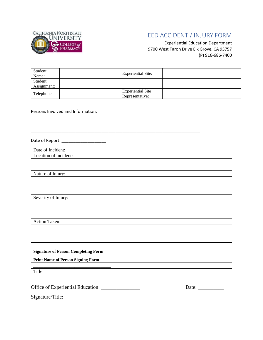<span id="page-45-0"></span>

# EED ACCIDENT / INJURY FORM

Experiential Education Department 9700 West Taron Drive Elk Grove, CA 95757 (P) 916-686-7400

| Student<br>Name:       | <b>Experiential Site:</b>                   |  |
|------------------------|---------------------------------------------|--|
| Student<br>Assignment: |                                             |  |
| Telephone:             | <b>Experiential Site</b><br>Representative: |  |

\_\_\_\_\_\_\_\_\_\_\_\_\_\_\_\_\_\_\_\_\_\_\_\_\_\_\_\_\_\_\_\_\_\_\_\_\_\_\_\_\_\_\_\_\_\_\_\_\_\_\_\_\_\_\_\_\_\_\_\_\_\_\_\_\_\_\_\_\_\_\_\_

Persons Involved and Information:

 $\frac{1}{2}$  , and the set of the set of the set of the set of the set of the set of the set of the set of the set of the set of the set of the set of the set of the set of the set of the set of the set of the set of the set

Date of Report: \_\_\_\_\_\_\_\_\_\_\_\_\_\_\_\_\_\_\_

| Date of Incident:                          |
|--------------------------------------------|
| Location of incident:                      |
|                                            |
|                                            |
| Nature of Injury:                          |
|                                            |
|                                            |
|                                            |
| Severity of Injury:                        |
|                                            |
|                                            |
|                                            |
| Action Taken:                              |
|                                            |
|                                            |
|                                            |
|                                            |
| <b>Signature of Person Completing Form</b> |
|                                            |
| <b>Print Name of Person Signing Form</b>   |
|                                            |
| Title                                      |
|                                            |

Office of Experiential Education: \_\_\_\_\_\_\_\_\_\_\_\_\_\_\_ Date: \_\_\_\_\_\_\_\_\_\_

Signature/Title: \_\_\_\_\_\_\_\_\_\_\_\_\_\_\_\_\_\_\_\_\_\_\_\_\_\_\_\_\_\_